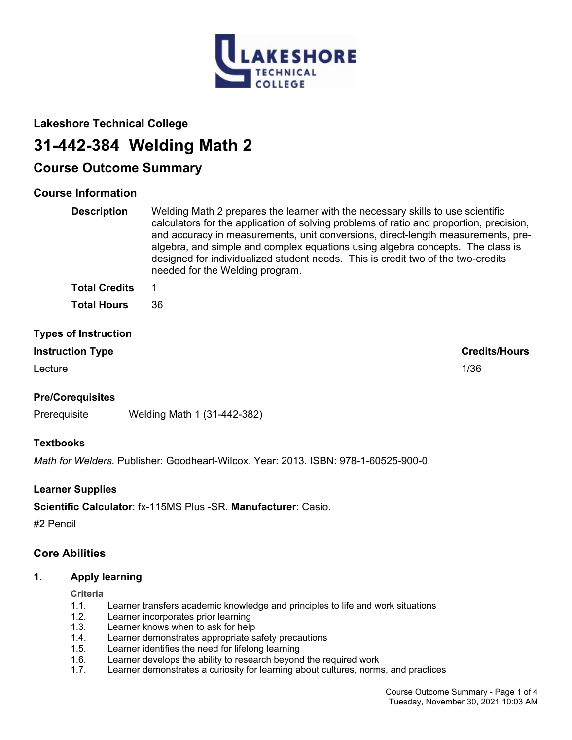

### **Lakeshore Technical College**

# **31-442-384 Welding Math 2**

## **Course Outcome Summary**

### **Course Information**

| <b>Description</b> | Welding Math 2 prepares the learner with the necessary skills to use scientific<br>calculators for the application of solving problems of ratio and proportion, precision,<br>and accuracy in measurements, unit conversions, direct-length measurements, pre-<br>algebra, and simple and complex equations using algebra concepts. The class is<br>designed for individualized student needs. This is credit two of the two-credits<br>needed for the Welding program. |
|--------------------|-------------------------------------------------------------------------------------------------------------------------------------------------------------------------------------------------------------------------------------------------------------------------------------------------------------------------------------------------------------------------------------------------------------------------------------------------------------------------|
| Tatal Onadita      |                                                                                                                                                                                                                                                                                                                                                                                                                                                                         |

| Total Gredits      |    |
|--------------------|----|
| <b>Total Hours</b> | 36 |

### **Types of Instruction**

### **Instruction Type Credits/Hours**

Lecture 2012 2013 2014 2022 2023 2024 2022 2023 2024 2022 2023 2024 2022 2023 2024 2022 2023 2024 2023 2024 20

### **Pre/Corequisites**

Prerequisite Welding Math 1 (31-442-382)

### **Textbooks**

*Math for Welders.* Publisher: Goodheart-Wilcox. Year: 2013. ISBN: 978-1-60525-900-0.

### **Learner Supplies**

**Scientific Calculator**: fx-115MS Plus -SR. **Manufacturer**: Casio.

#2 Pencil

### **Core Abilities**

### **1. Apply learning**

#### **Criteria**

- 1.1. Learner transfers academic knowledge and principles to life and work situations
- 1.2. Learner incorporates prior learning
- 1.3. Learner knows when to ask for help
- 1.4. Learner demonstrates appropriate safety precautions
- 1.5. Learner identifies the need for lifelong learning
- 1.6. Learner develops the ability to research beyond the required work
- 1.7. Learner demonstrates a curiosity for learning about cultures, norms, and practices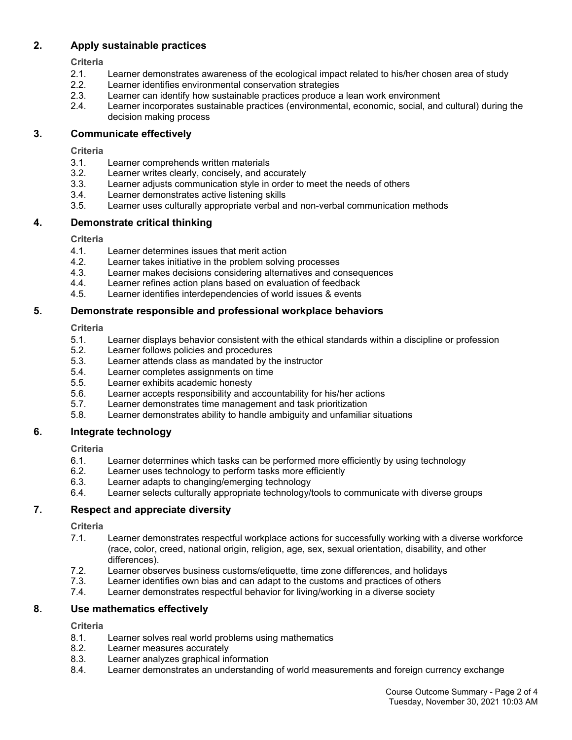### **2. Apply sustainable practices**

**Criteria**

- 2.1. Learner demonstrates awareness of the ecological impact related to his/her chosen area of study
- 2.2. Learner identifies environmental conservation strategies
- 2.3. Learner can identify how sustainable practices produce a lean work environment
- 2.4. Learner incorporates sustainable practices (environmental, economic, social, and cultural) during the decision making process

### **3. Communicate effectively**

**Criteria**

- 3.1. Learner comprehends written materials
- 3.2. Learner writes clearly, concisely, and accurately
- 3.3. Learner adjusts communication style in order to meet the needs of others
- 3.4. Learner demonstrates active listening skills
- 3.5. Learner uses culturally appropriate verbal and non-verbal communication methods

### **4. Demonstrate critical thinking**

**Criteria**

- 4.1. Learner determines issues that merit action
- 4.2. Learner takes initiative in the problem solving processes
- 4.3. Learner makes decisions considering alternatives and consequences
- 4.4. Learner refines action plans based on evaluation of feedback
- 4.5. Learner identifies interdependencies of world issues & events

### **5. Demonstrate responsible and professional workplace behaviors**

### **Criteria**

- 5.1. Learner displays behavior consistent with the ethical standards within a discipline or profession
- 5.2. Learner follows policies and procedures
- 5.3. Learner attends class as mandated by the instructor
- 5.4. Learner completes assignments on time
- 5.5. Learner exhibits academic honesty
- 5.6. Learner accepts responsibility and accountability for his/her actions
- 5.7. Learner demonstrates time management and task prioritization
- 5.8. Learner demonstrates ability to handle ambiguity and unfamiliar situations

### **6. Integrate technology**

#### **Criteria**

- 6.1. Learner determines which tasks can be performed more efficiently by using technology
- 6.2. Learner uses technology to perform tasks more efficiently
- 6.3. Learner adapts to changing/emerging technology
- 6.4. Learner selects culturally appropriate technology/tools to communicate with diverse groups

### **7. Respect and appreciate diversity**

#### **Criteria**

- 7.1. Learner demonstrates respectful workplace actions for successfully working with a diverse workforce (race, color, creed, national origin, religion, age, sex, sexual orientation, disability, and other differences).
- 7.2. Learner observes business customs/etiquette, time zone differences, and holidays
- Learner identifies own bias and can adapt to the customs and practices of others
- 7.4. Learner demonstrates respectful behavior for living/working in a diverse society

### **8. Use mathematics effectively**

### **Criteria**

- 8.1. Learner solves real world problems using mathematics
- 8.2. Learner measures accurately
- 8.3. Learner analyzes graphical information
- 8.4. Learner demonstrates an understanding of world measurements and foreign currency exchange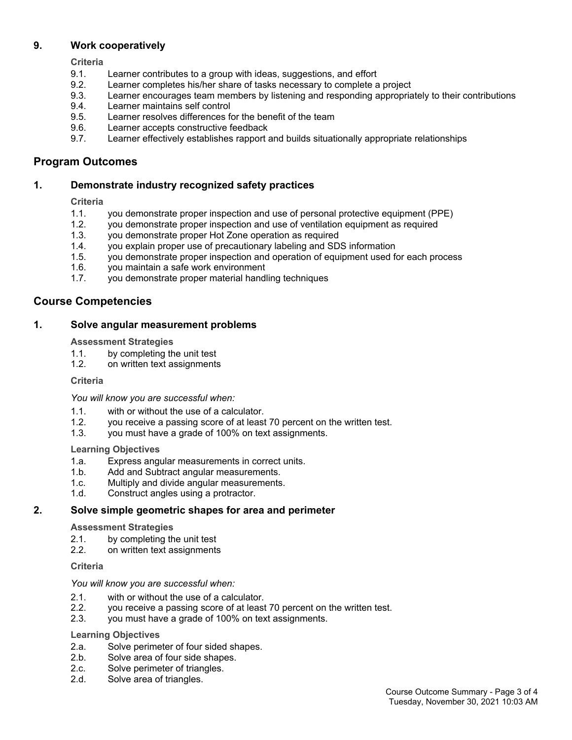### **9. Work cooperatively**

**Criteria**

- 9.1. Learner contributes to a group with ideas, suggestions, and effort
- 9.2. Learner completes his/her share of tasks necessary to complete a project
- 9.3. Learner encourages team members by listening and responding appropriately to their contributions
- 9.4. Learner maintains self control
- 9.5. Learner resolves differences for the benefit of the team
- 9.6. Learner accepts constructive feedback
- 9.7. Learner effectively establishes rapport and builds situationally appropriate relationships

### **Program Outcomes**

### **1. Demonstrate industry recognized safety practices**

### **Criteria**

- 1.1. you demonstrate proper inspection and use of personal protective equipment (PPE)
- 1.2. you demonstrate proper inspection and use of ventilation equipment as required
- 1.3. you demonstrate proper Hot Zone operation as required
- 1.4. you explain proper use of precautionary labeling and SDS information
- 1.5. you demonstrate proper inspection and operation of equipment used for each process
- 1.6. you maintain a safe work environment
- 1.7. you demonstrate proper material handling techniques

### **Course Competencies**

### **1. Solve angular measurement problems**

#### **Assessment Strategies**

- 1.1. by completing the unit test
- 1.2. on written text assignments

#### **Criteria**

*You will know you are successful when:*

- 1.1. with or without the use of a calculator.
- 1.2. you receive a passing score of at least 70 percent on the written test.
- 1.3. you must have a grade of 100% on text assignments.

#### **Learning Objectives**

- 1.a. Express angular measurements in correct units.
- 1.b. Add and Subtract angular measurements.
- 1.c. Multiply and divide angular measurements.
- 1.d. Construct angles using a protractor.

#### **2. Solve simple geometric shapes for area and perimeter**

#### **Assessment Strategies**

- 2.1. by completing the unit test
- 2.2. on written text assignments

#### **Criteria**

#### *You will know you are successful when:*

- 2.1. with or without the use of a calculator.
- 2.2. you receive a passing score of at least 70 percent on the written test.
- 2.3. you must have a grade of 100% on text assignments.

#### **Learning Objectives**

- 2.a. Solve perimeter of four sided shapes.<br>2.b. Solve area of four side shapes.
- Solve area of four side shapes.
- 2.c. Solve perimeter of triangles.
- 2.d. Solve area of triangles.